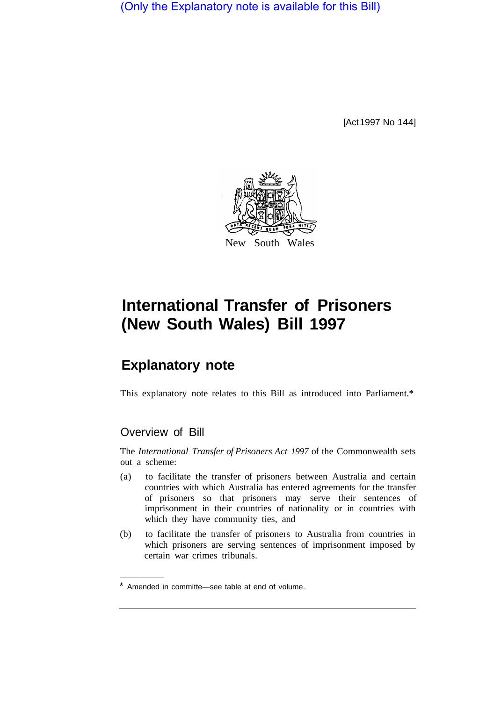(Only the Explanatory note is available for this Bill)

[Act 1997 No 144]



# **International Transfer of Prisoners (New South Wales) Bill 1997**

# **Explanatory note**

This explanatory note relates to this Bill as introduced into Parliament.\*

## Overview of Bill

The *International Transfer of Prisoners Act 1997* of the Commonwealth sets out a scheme:

- (a) to facilitate the transfer of prisoners between Australia and certain countries with which Australia has entered agreements for the transfer of prisoners so that prisoners may serve their sentences of imprisonment in their countries of nationality or in countries with which they have community ties, and
- (b) to facilitate the transfer of prisoners to Australia from countries in which prisoners are serving sentences of imprisonment imposed by certain war crimes tribunals.

Amended in committe—see table at end of volume.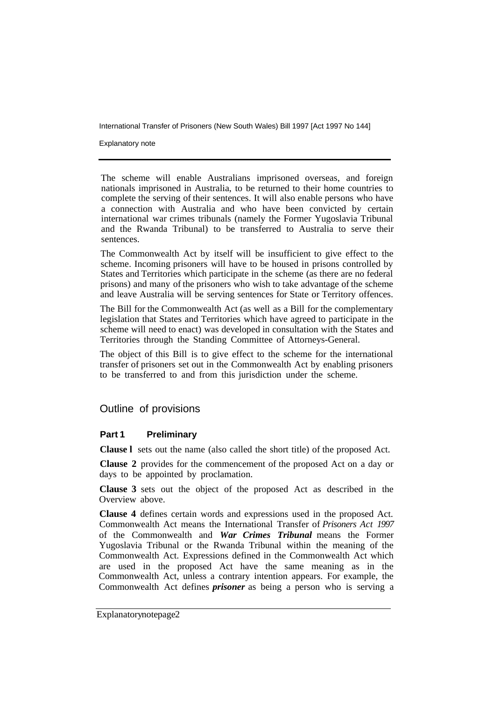International Transfer of Prisoners (New South Wales) Bill 1997 [Act 1997 No 144]

Explanatory note

The scheme will enable Australians imprisoned overseas, and foreign nationals imprisoned in Australia, to be returned to their home countries to complete the serving of their sentences. It will also enable persons who have a connection with Australia and who have been convicted by certain international war crimes tribunals (namely the Former Yugoslavia Tribunal and the Rwanda Tribunal) to be transferred to Australia to serve their sentences.

The Commonwealth Act by itself will be insufficient to give effect to the scheme. Incoming prisoners will have to be housed in prisons controlled by States and Territories which participate in the scheme (as there are no federal prisons) and many of the prisoners who wish to take advantage of the scheme and leave Australia will be serving sentences for State or Territory offences.

The Bill for the Commonwealth Act (as well as a Bill for the complementary legislation that States and Territories which have agreed to participate in the scheme will need to enact) was developed in consultation with the States and Territories through the Standing Committee of Attorneys-General.

The object of this Bill is to give effect to the scheme for the international transfer of prisoners set out in the Commonwealth Act by enabling prisoners to be transferred to and from this jurisdiction under the scheme.

### Outline of provisions

#### **Part 1 Preliminary**

**Clause l** sets out the name (also called the short title) of the proposed Act.

**Clause 2** provides for the commencement of the proposed Act on a day or days to be appointed by proclamation.

**Clause 3** sets out the object of the proposed Act as described in the Overview above.

**Clause 4** defines certain words and expressions used in the proposed Act. Commonwealth Act means the International Transfer of *Prisoners Act 1997*  of the Commonwealth and *War Crimes Tribunal* means the Former Yugoslavia Tribunal or the Rwanda Tribunal within the meaning of the Commonwealth Act. Expressions defined in the Commonwealth Act which are used in the proposed Act have the same meaning as in the Commonwealth Act, unless a contrary intention appears. For example, the Commonwealth Act defines *prisoner* as being a person who is serving a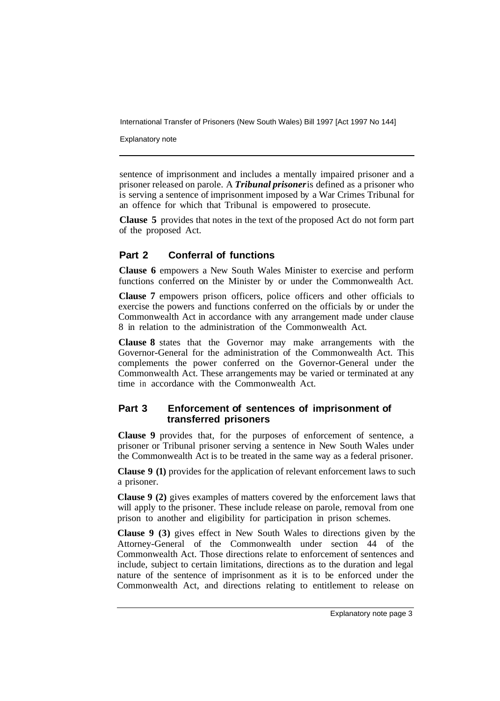International Transfer of Prisoners (New South Wales) Bill 1997 [Act 1997 No 144]

Explanatory note

sentence of imprisonment and includes a mentally impaired prisoner and a prisoner released on parole. A *Tribunal prisoner* is defined as a prisoner who is serving a sentence of imprisonment imposed by a War Crimes Tribunal for an offence for which that Tribunal is empowered to prosecute.

**Clause 5** provides that notes in the text of the proposed Act do not form part of the proposed Act.

#### **Part 2 Conferral of functions**

**Clause 6** empowers a New South Wales Minister to exercise and perform functions conferred on the Minister by or under the Commonwealth Act.

**Clause 7** empowers prison officers, police officers and other officials to exercise the powers and functions conferred on the officials by or under the Commonwealth Act in accordance with any arrangement made under clause 8 in relation to the administration of the Commonwealth Act.

**Clause 8** states that the Governor may make arrangements with the Governor-General for the administration of the Commonwealth Act. This complements the power conferred on the Governor-General under the Commonwealth Act. These arrangements may be varied or terminated at any time in accordance with the Commonwealth Act.

#### **Part 3 Enforcement of sentences of imprisonment of transferred prisoners**

**Clause 9** provides that, for the purposes of enforcement of sentence, a prisoner or Tribunal prisoner serving a sentence in New South Wales under the Commonwealth Act is to be treated in the same way as a federal prisoner.

**Clause 9 (1)** provides for the application of relevant enforcement laws to such a prisoner.

**Clause 9 (2)** gives examples of matters covered by the enforcement laws that will apply to the prisoner. These include release on parole, removal from one prison to another and eligibility for participation in prison schemes.

**Clause 9 (3)** gives effect in New South Wales to directions given by the Attorney-General of the Commonwealth under section 44 of the Commonwealth Act. Those directions relate to enforcement of sentences and include, subject to certain limitations, directions as to the duration and legal nature of the sentence of imprisonment as it is to be enforced under the Commonwealth Act, and directions relating to entitlement to release on